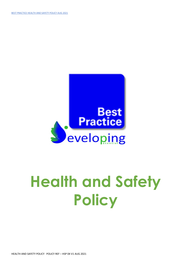

# **Health and Safety Policy**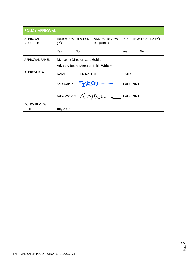| <b>POLICY APPROVAL</b>              |                                                                       |                  |                                         |                                     |            |  |
|-------------------------------------|-----------------------------------------------------------------------|------------------|-----------------------------------------|-------------------------------------|------------|--|
| <b>APPROVAL</b><br><b>REQUIRED</b>  | <b>INDICATE WITH A TICK</b><br>$(\checkmark)$                         |                  | <b>ANNUAL REVIEW</b><br><b>REQUIRED</b> | INDICATE WITH A TICK $(\checkmark)$ |            |  |
|                                     | <b>Yes</b>                                                            | No               |                                         | Yes                                 | No.        |  |
| <b>APPROVAL PANEL</b>               | Managing Director: Sara Goldie<br>Advisory Board Member: Nikki Witham |                  |                                         |                                     |            |  |
| <b>APPROVED BY:</b>                 | <b>NAME</b>                                                           | <b>SIGNATURE</b> |                                         | DATE:                               |            |  |
|                                     | Sara Goldie                                                           |                  |                                         |                                     | 1 AUG 2021 |  |
|                                     | Nikki Witham                                                          |                  |                                         | 1 AUG 2021                          |            |  |
| <b>POLICY REVIEW</b><br><b>DATE</b> | <b>July 2022</b>                                                      |                  |                                         |                                     |            |  |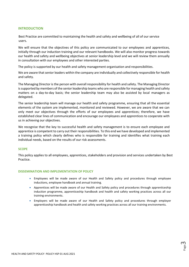# **INTRODUCTION**

 Best Practice are committed to maintaining the health and safety and wellbeing of all of our service users.

We will ensure that the objectives of this policy are communicated to our employees and apprentices, initially through our induction training and our relevant handbooks. We will also monitor progress towards our health and safety and wellbeing objectives at senior leadership level and we will review them annually in consultation with our employees and other interested parties.

The policy is supported by our health and safety management organisation and responsibilities.

We are aware that senior leaders within the company are individually and collectively responsible for health and safety.

The Managing Director is the person with overall responsibility for health and safety. The Managing Director is supported by members of the senior leadership teams who are responsible for managing health and safety matters on a day-to-day basis; the senior leadership team may also be assisted by local managers as delegated.

The senior leadership team will manage our health and safety programme, ensuring that all the essential elements of the system are implemented, monitored and reviewed. However, we are aware that we can only meet our objectives through the efforts of our employees and apprentices; therefore, we have established clear lines of communication and encourage our employees and apprentices to cooperate with us in achieving our objectives.

We recognise that the key to successful health and safety management is to ensure each employee and apprentice is competent to carry out their responsibilities. To this end we have developed and implemented a training policy which clearly defines who is responsible for training and identifies what training each individual needs, based on the results of our risk assessments.

#### **SCOPE**

This policy applies to all employees, apprentices, stakeholders and provision and services undertaken by Best Practice.

#### **DISSEMINATION AND IMPLEMENTATION OF POLICY**

- Employees will be made aware of our Health and Safety policy and procedures through employee inductions, employee handbook and annual training.
- Apprentices will be made aware of our Health and Safety policy and procedures through apprenticeship induction programme, apprenticeship handbook and health and safety working practices across all our training environments.
- Employers will be made aware of our Health and Safety policy and procedures through employer apprenticeship handbook and health and safety working practices across all our training environments.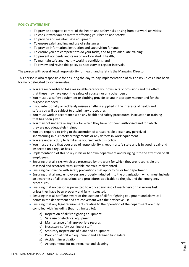# **POLICY STATEMENT**

- To provide adequate control of the health and safety risks arising from our work activities;
- To consult with you on matters affecting your health and safety;
- To provide and maintain safe equipment;
- To ensure safe handling and use of substances;
- To provide information, instruction and supervision for you;
- To ensure you are competent to do your tasks, and to give adequate training:
- To prevent accidents and cases of work-related ill health;
- To maintain safe and healthy working conditions; and
- To review and revise this policy as necessary at regular intervals.

The person with overall legal responsibility for health and safety is the Managing Director.

This person is also responsible for ensuring the day-to-day implementation of this policy unless it has been formally delegated to someone else.

- You are responsible to take reasonable care for your own acts or omissions and the effect that these may have upon the safety of yourself or any other person
- You must use safety equipment or clothing provide to you in a proper manner and for the purpose intended
- If you intentionally or recklessly misuse anything supplied in the interests of health and safety you will be subject to disciplinary procedures
- You must work in accordance with any health and safety procedures, instruction or training that has been given
- You may not undertake any task for which they have not been authorised and for which they are not adequately trained
- You are required to bring to the attention of a responsible person any perceived shortcoming in our safety arrangements or any defects in work equipment
- You are under a duty to familiarise yourself with this policy.
- You must ensure that your area of responsibility is kept in a safe state and is in good repair and inspected on a regular basis
- Implementation of this policy in his or her own department and bringing it to the attention of all employees.
- Ensuring that all risks which are presented by the work for which they are responsible are assessed and recorded, with suitable controls implemented.
- Ensuring compliance with safety precautions that apply to his or her department.
- Ensuring that all new employees are properly inducted into the organisation, which must include an awareness of all precautions and procedures applicable to the job, and the emergency procedures.
- Ensuring that no person is permitted to work at any kind of machinery or hazardous task unless they have been properly and fully instructed.
- Ensuring that all staff are aware of the location of all fire-fighting equipment and alarm call points in the department and are conversant with their effective use.
- Ensuring that any legal requirements relating to the operation of the department are fully complied with, including (but not limited to):
	- (a) Inspection of all fire-fighting equipment
	- (b) Safe use of electrical equipment
	- (c) Maintenance of all appropriate records
	- (d) Necessary safety training of staff
	- (e) Statutory inspections of plant and equipment
	- (f) Provision of first aid equipment and a trained first aiders.
	- (g) Accident investigation
	- (h) Arrangements for maintenance and cleaning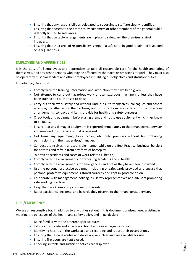- Ensuring that any responsibilities delegated to subordinate staff are clearly identified.
- Ensuring that access to the premises by customers or other members of the general public is strictly limited to safe areas.
- Ensuring that suitable arrangements are in place to safeguard the premises against intruders.
- Ensuring that their area of responsibility is kept in a safe state in good repair and inspected on a regular basis.

# **EMPLOYEES AND APPRENTICES**

It is the duty of all employees and apprentices to take all reasonable care for the health and safety of themselves, and any other persons who may be affected by their acts or omissions at work. They must also co-operate with senior leaders and other employees in fulfilling our objectives and statutory duties.

In particular, they must:

- Comply with the training, information and instruction they have been given.
- Not attempt to carry out hazardous work or use hazardous machinery unless they have been trained and authorised to do so.
- Carry out their work safely and without undue risk to themselves, colleagues and others who may be affected by their actions, and not intentionally interfere, misuse or ignore arrangements, controls and items provide for health and safety purposes.
- Check tools and equipment before using them, and not to use equipment which they know to be faulty.
- Ensure that any damaged equipment is reported immediately to their manager/supervisor and removed from service until it is repaired.
- Not bring any equipment, tools, radios, etc. onto premises without first obtaining permission from their supervisor/manager.
- Conduct themselves in a responsible manner while on the Best Practice business, be alert for hazards and refrain from any form of horseplay.
- To prevent accidents and cases of work-related ill health;
- Comply with the arrangements for reporting accidents and ill health.
- Comply with the arrangements for emergencies and fire as they have been instructed.
- Use the personal protective equipment, clothing or safeguards provided and ensure that personal protective equipment is stored correctly and kept in good condition.
- Co-operate with management, colleagues, safety representatives and advisors promoting safe working practices.
- Keep their work areas tidy and clear of hazards.
- Report accidents, incidents and hazards they observe to their manager/supervisor.

# **FIRE /EMERGENCY**

We are all responsible for, in addition to any duties set out in this document or elsewhere, assisting in meeting the objectives of the health and safety policy, and in particular:

- Being familiar with the emergency procedures.
- Taking appropriate and effective action if a fire or emergency occurs.
- Identifying hazards in the workplace and recording and report their observations.
- Ensuring that escape routes and doors are kept clear and are available for use.
- Ensuring fire doors are kept closed.
- Checking suitable and sufficient notices are displayed.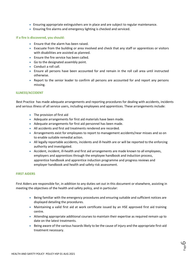- Ensuring appropriate extinguishers are in place and are subject to regular maintenance.
- Ensuring fire alarms and emergency lighting is checked and serviced.

# **If a fire is discovered, you should:**

- Ensure that the alarm has been raised.
- Evacuate from the building or area involved and check that any staff or apprentices or visitors with disabilities are assisted as planned.
- Ensure the fire service has been called.
- Go to the designated assembly point.
- Conduct a roll call.
- Ensure all persons have been accounted for and remain in the roll call area until instructed otherwise.
- Report to the senior leader to confirm all persons are accounted for and report any persons missing.

#### **ILLNESS/ACCIDENT**

 Best Practice has made adequate arrangements and reporting procedures for dealing with accidents, incidents and serious illness of all service users, including employees and apprentices. These arrangements include:

- The provision of first aid
- Adequate arrangements for first aid materials have been made.
- Adequate arrangements for first aid personnel has been made.
- All accidents and first aid treatments rendered are recorded.
- Arrangements exist for employees to report to management accidents/near misses and so on to enable suitable remedial action.
- All legally reportable accidents, incidents and ill-health are or will be reported to the enforcing authority and investigated.
- Accident, incident, ill-health and first aid arrangements are made known to all employees, employers and apprentices through the employee handbook and induction process, apprentice handbook and apprentice induction programme and progress reviews and employer handbook and health and safety risk assessment.

#### **FIRST AIDERS**

First Aiders are responsible for, in addition to any duties set out in this document or elsewhere, assisting in meeting the objectives of the health and safety policy, and in particular:

- Being familiar with the emergency procedures and ensuring suitable and sufficient notices are displayed detailing the procedures.
- Maintaining a valid first aid at work certificate issued by an HSE approved first aid training centre.
- Attending appropriate additional courses to maintain their expertise as required remain up to date on the latest treatments.
- Being aware of the various hazards likely to be the cause of injury and the appropriate first-aid treatment necessary.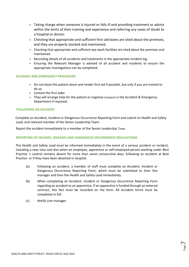- Taking charge when someone is injured or falls ill and providing treatment or advice within the limits of their training and experience and referring any cases of doubt to a hospital or doctor.
- Checking that appropriate and sufficient first-aid boxes are sited about the premises, and they are properly stocked and maintained.
- Checking that appropriate and sufficient eye wash facilities are sited about the premises and maintained.
- Recording details of all accidents and treatments in the appropriate incident log.
- Ensuring the Relevant Manager is advised of all accident and incidents to ensure the appropriate investigations can be completed.

# **ACCIDENT AND EMERGENCY PROCEDURE**

- Do not leave the patient alone and render first aid if possible, but only if you are trained to do so.
- Contact the first aider
- They will arrange help for the patient or organise transport to the Accident & Emergency Department if required.

# **FOLLOWING AN ACCIDENT**

Complete an Accident, Incident or Dangerous Occurrence Reporting Form and submit to Health and Safety Lead, and relevant member of the Senior Leadership Team.

Report the accident immediately to a member of the Senior Leadership Team.

# **REPORTING OF INJURIES, DISEASES AND DANGEROUS OCCURRENCES REGULATIONS**

The Health and Safety Lead must be informed immediately in the event of a serious accident or incident, including a near miss and also when an employee, apprentice or self-employed person working under Best Practice 's control remains absent for more than seven consecutive days, following an accident at Best Practice or if they have been detained in hospital.

- (a) Following an accident, a member of staff must complete an Accident, Incident or Dangerous Occurrence Reporting Form, which must be submitted to their line manager and then the Health and Safety Lead immediately.
- (b) When completing an Accident, Incident or Dangerous Occurrence Reporting Form regarding an accident to an apprentice. If an apprentice is funded through an external contract, this fact must be recorded on the form. All Accident forms must be completed in full.
- (c) Notify Line manager.